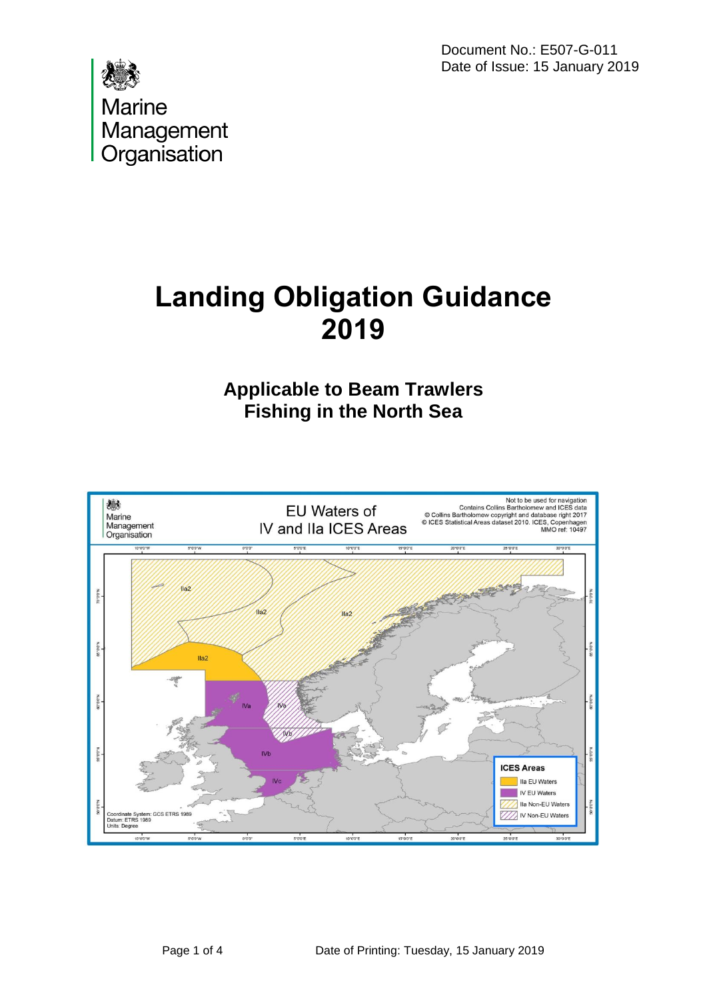Document No.: E507-G-011 Date of Issue: 15 January 2019



# **Landing Obligation Guidance 2019**

# **Applicable to Beam Trawlers Fishing in the North Sea**

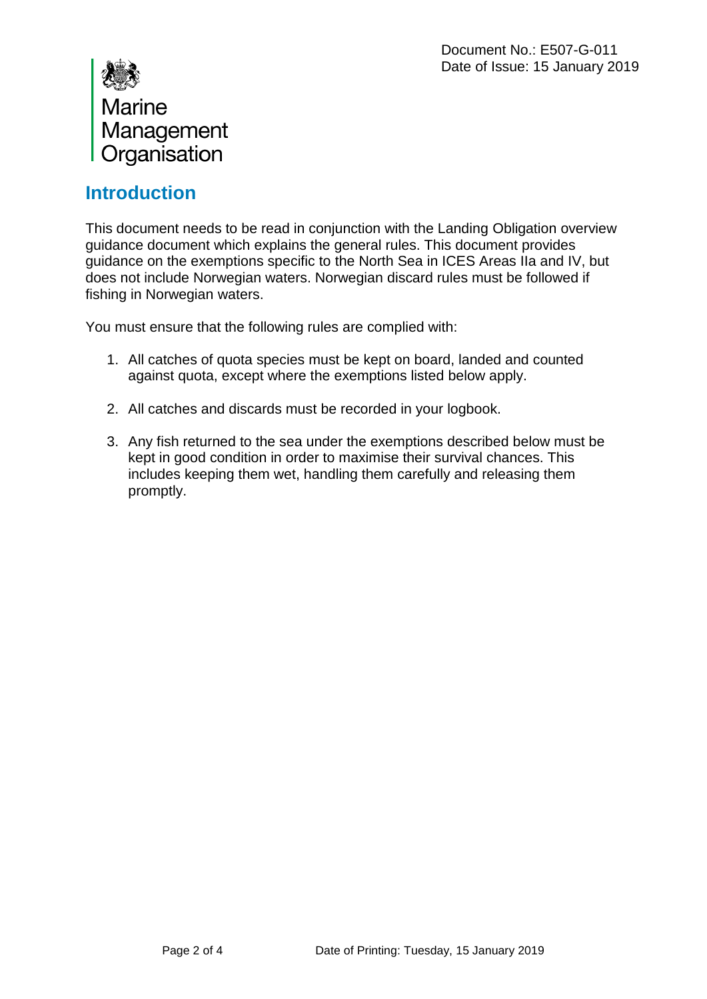

#### **Introduction**

This document needs to be read in conjunction with the Landing Obligation overview guidance document which explains the general rules. This document provides guidance on the exemptions specific to the North Sea in ICES Areas IIa and IV, but does not include Norwegian waters. Norwegian discard rules must be followed if fishing in Norwegian waters.

You must ensure that the following rules are complied with:

- 1. All catches of quota species must be kept on board, landed and counted against quota, except where the exemptions listed below apply.
- 2. All catches and discards must be recorded in your logbook.
- 3. Any fish returned to the sea under the exemptions described below must be kept in good condition in order to maximise their survival chances. This includes keeping them wet, handling them carefully and releasing them promptly.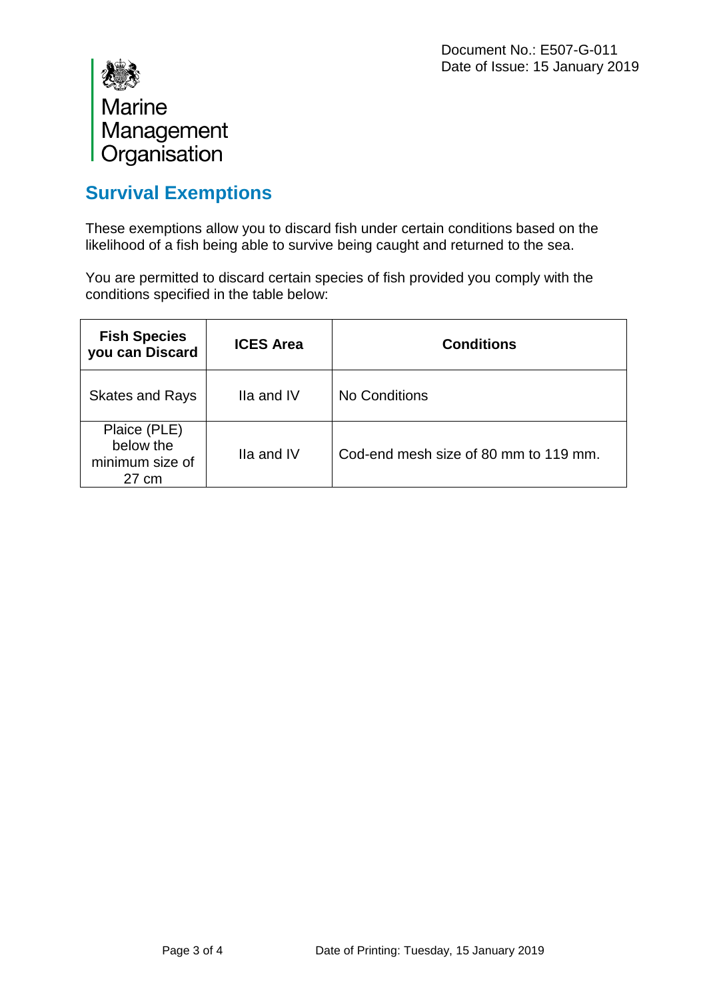

## **Survival Exemptions**

These exemptions allow you to discard fish under certain conditions based on the likelihood of a fish being able to survive being caught and returned to the sea.

You are permitted to discard certain species of fish provided you comply with the conditions specified in the table below:

| <b>Fish Species</b><br>you can Discard                          | <b>ICES Area</b> | <b>Conditions</b>                     |
|-----------------------------------------------------------------|------------------|---------------------------------------|
| <b>Skates and Rays</b>                                          | Ila and IV       | No Conditions                         |
| Plaice (PLE)<br>below the<br>minimum size of<br>$27 \text{ cm}$ | Ila and IV       | Cod-end mesh size of 80 mm to 119 mm. |